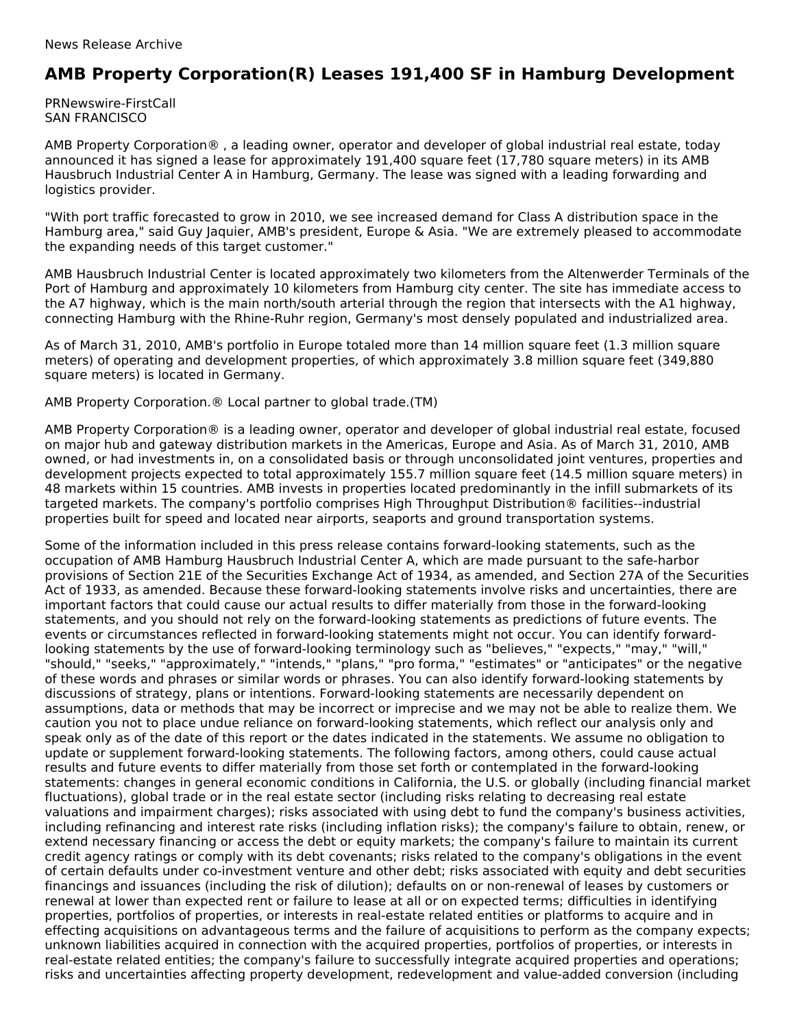## **AMB Property Corporation(R) Leases 191,400 SF in Hamburg Development**

PRNewswire-FirstCall SAN FRANCISCO

AMB Property Corporation® , a leading owner, operator and developer of global industrial real estate, today announced it has signed a lease for approximately 191,400 square feet (17,780 square meters) in its AMB Hausbruch Industrial Center A in Hamburg, Germany. The lease was signed with a leading forwarding and logistics provider.

"With port traffic forecasted to grow in 2010, we see increased demand for Class A distribution space in the Hamburg area," said Guy Jaquier, AMB's president, Europe & Asia. "We are extremely pleased to accommodate the expanding needs of this target customer."

AMB Hausbruch Industrial Center is located approximately two kilometers from the Altenwerder Terminals of the Port of Hamburg and approximately 10 kilometers from Hamburg city center. The site has immediate access to the A7 highway, which is the main north/south arterial through the region that intersects with the A1 highway, connecting Hamburg with the Rhine-Ruhr region, Germany's most densely populated and industrialized area.

As of March 31, 2010, AMB's portfolio in Europe totaled more than 14 million square feet (1.3 million square meters) of operating and development properties, of which approximately 3.8 million square feet (349,880 square meters) is located in Germany.

AMB Property Corporation.® Local partner to global trade.(TM)

AMB Property Corporation® is a leading owner, operator and developer of global industrial real estate, focused on major hub and gateway distribution markets in the Americas, Europe and Asia. As of March 31, 2010, AMB owned, or had investments in, on a consolidated basis or through unconsolidated joint ventures, properties and development projects expected to total approximately 155.7 million square feet (14.5 million square meters) in 48 markets within 15 countries. AMB invests in properties located predominantly in the infill submarkets of its targeted markets. The company's portfolio comprises High Throughput Distribution® facilities--industrial properties built for speed and located near airports, seaports and ground transportation systems.

Some of the information included in this press release contains forward-looking statements, such as the occupation of AMB Hamburg Hausbruch Industrial Center A, which are made pursuant to the safe-harbor provisions of Section 21E of the Securities Exchange Act of 1934, as amended, and Section 27A of the Securities Act of 1933, as amended. Because these forward-looking statements involve risks and uncertainties, there are important factors that could cause our actual results to differ materially from those in the forward-looking statements, and you should not rely on the forward-looking statements as predictions of future events. The events or circumstances reflected in forward-looking statements might not occur. You can identify forwardlooking statements by the use of forward-looking terminology such as "believes," "expects," "may," "will," "should," "seeks," "approximately," "intends," "plans," "pro forma," "estimates" or "anticipates" or the negative of these words and phrases or similar words or phrases. You can also identify forward-looking statements by discussions of strategy, plans or intentions. Forward-looking statements are necessarily dependent on assumptions, data or methods that may be incorrect or imprecise and we may not be able to realize them. We caution you not to place undue reliance on forward-looking statements, which reflect our analysis only and speak only as of the date of this report or the dates indicated in the statements. We assume no obligation to update or supplement forward-looking statements. The following factors, among others, could cause actual results and future events to differ materially from those set forth or contemplated in the forward-looking statements: changes in general economic conditions in California, the U.S. or globally (including financial market fluctuations), global trade or in the real estate sector (including risks relating to decreasing real estate valuations and impairment charges); risks associated with using debt to fund the company's business activities, including refinancing and interest rate risks (including inflation risks); the company's failure to obtain, renew, or extend necessary financing or access the debt or equity markets; the company's failure to maintain its current credit agency ratings or comply with its debt covenants; risks related to the company's obligations in the event of certain defaults under co-investment venture and other debt; risks associated with equity and debt securities financings and issuances (including the risk of dilution); defaults on or non-renewal of leases by customers or renewal at lower than expected rent or failure to lease at all or on expected terms; difficulties in identifying properties, portfolios of properties, or interests in real-estate related entities or platforms to acquire and in effecting acquisitions on advantageous terms and the failure of acquisitions to perform as the company expects; unknown liabilities acquired in connection with the acquired properties, portfolios of properties, or interests in real-estate related entities; the company's failure to successfully integrate acquired properties and operations; risks and uncertainties affecting property development, redevelopment and value-added conversion (including